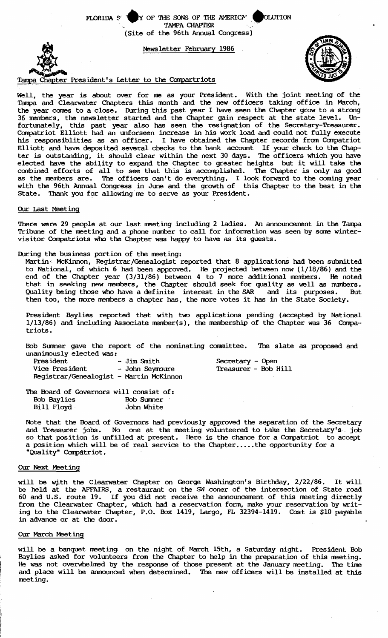FLORIDA  $S'$  . Y OF THE SONS OF THE AMERICA' CLUTION TAMPA CHAPTER (Site of the 96th Annual Congress)





Well, the year is about over for me as your President. With the joint meeting of the Tampa and Clearwater Chapters this month and the new officers taking office in March, the year comes to a close. During this past year I have seen the Chapter grow to a strong 36 members, the newsletter started and the Chapter gain respect at the state level. Unfortunately, this past year also has seen the resignation of the Secretary-Treasurer. Compatriot Elliott had an unforseen increase in his work load and could not fully execute his responsiblities as an officer. I have obtained the Chapter records from Compatriot Elliott and have deposited several checks to the bank account If your check to the Chapter is outstanding, it should clear within the next 30 days. The officers which you have elected have the ability to expand the Chapter to greater heights but it will take the combined efforts of all to see that this is accomplished. The Chapter is only as good as the members are. The officers can't do everything. I look forward to the coming year with the 96th Annual Congress in June and the growth of this Chapter to the best in the State. Thank you for allowing me to serve as your President.

# Our Last Meeting

There were 29 people at our last meeting including 2 ladies. An announcement in the Tampa Tribune of the meeting and a phone number to call for information was seen by some wintervisitor Conpatriots who the Chapter was happy to have as its guests.

During the business portion of the meeting:

Martin- McKinnon, Registrar/Genealogist reported that 8 applications had been submitted to National, of which 6 had been approved. He projected between now ( $1/18/86$ ) and the end of the Chapter year  $(3/31/86)$  between 4 to 7 more additional members. He noted that in seeking new members, the Chapter should seek for quality as well as numbers. Quality being those who have a definite interest in the SAR and its purposes. But then too, the more members a chapter has, the more votes it has in the State Society.

President Baylies reported that with two applications pending (accepted by National  $1/13/86$ ) and including Associate member(s), the membership of the Chapter was 36 Compatriots.

Bob Sumer gave the report of the nominating coomittee. The slate as proposed and unanimously elected was:

| President                               | - Jim Smith     |
|-----------------------------------------|-----------------|
| Vice President                          | - John Seymoure |
| Registrar/Genealogist - Martin McKinnon |                 |

Secretary - Open Treasurer - Bob Hill

The Board of Governors will consist of:<br>Bob Baylies Bob Summer Bob Baylies Bob Sumer Bill Floyd

Note that the Board of Governors had previously approved the separation of the Secretary and Treasurer jobs. No one at the meeting volunteered to take the Secretary's job so that position is unfilled at present. Here is the chance for a Compatriot to accept a position which will be of real service to the Chapter.....the opportunity for a "Quality" CompAtriot.

# Our Next Meeting

will be with the Clearwater Chapter on George Washington's Birthday, 2/22/86. It will be held at the AFFAIRS, a restaurant on the SW coner of the intersection of State road 60 and U.S. route 19. If you did not receive the announcement of this meeting directly from the Clearwater Chapter, which had a reservation form, make your reservation by writing to the Clearwater Chapter, P.O. Box 1419, Largo, FL 32394-1419. Cost is \$10 payable in advance or at the door.

# Our March Meeting

will be a banquet meeting on the night of March 15th, a Saturday night. President Bob Baylies asked for volunteers from the Chapter to help in the preparation of this meeting. He was not overwhelmed by the response of those present at the January meeting. The time and place will be announced when determined. The new officers will be installed at this meeting.